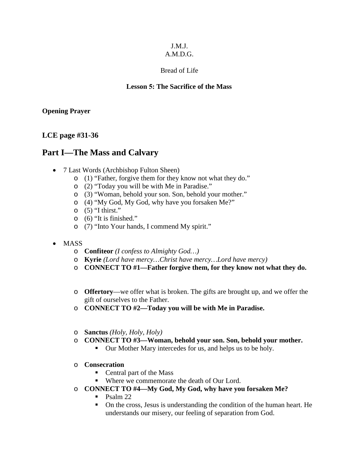# J.M.J.

# A.M.D.G.

## Bread of Life

## **Lesson 5: The Sacrifice of the Mass**

## **Opening Prayer**

## **LCE page #31-36**

# **Part I—The Mass and Calvary**

- 7 Last Words (Archbishop Fulton Sheen)
	- o (1) "Father, forgive them for they know not what they do."
	- o (2) "Today you will be with Me in Paradise."
	- o (3) "Woman, behold your son. Son, behold your mother."
	- o (4) "My God, My God, why have you forsaken Me?"
	- $\circ$  (5) "I thirst."
	- o (6) "It is finished."
	- o (7) "Into Your hands, I commend My spirit."
- MASS
	- o **Confiteor** *(I confess to Almighty God…)*
	- o **Kyrie** *(Lord have mercy…Christ have mercy…Lord have mercy)*
	- o **CONNECT TO #1—Father forgive them, for they know not what they do.**
	- o **Offertory**—we offer what is broken. The gifts are brought up, and we offer the gift of ourselves to the Father.
	- o **CONNECT TO #2—Today you will be with Me in Paradise.**
	- o **Sanctus** *(Holy, Holy, Holy)*
	- o **CONNECT TO #3—Woman, behold your son. Son, behold your mother.**
		- Our Mother Mary intercedes for us, and helps us to be holy.
	- o **Consecration**
		- Central part of the Mass
		- Where we commemorate the death of Our Lord.
	- o **CONNECT TO #4—My God, My God, why have you forsaken Me?**
		- $\blacksquare$  Psalm 22
		- On the cross, Jesus is understanding the condition of the human heart. He understands our misery, our feeling of separation from God.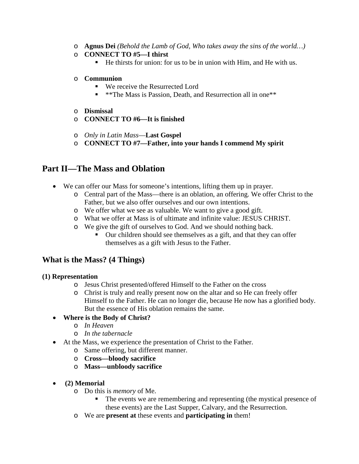- o **Agnus Dei** *(Behold the Lamb of God, Who takes away the sins of the world…)*
- o **CONNECT TO #5—I thirst**
	- $\blacksquare$  He thirsts for union: for us to be in union with Him, and He with us.

#### o **Communion**

- We receive the Resurrected Lord
- <sup>\*\*</sup>The Mass is Passion, Death, and Resurrection all in one<sup>\*\*</sup>
- o **Dismissal**
- o **CONNECT TO #6—It is finished**
- o *Only in Latin Mass*—**Last Gospel**
- o **CONNECT TO #7—Father, into your hands I commend My spirit**

## **Part II—The Mass and Oblation**

- We can offer our Mass for someone's intentions, lifting them up in prayer.
	- o Central part of the Mass—there is an oblation, an offering. We offer Christ to the Father, but we also offer ourselves and our own intentions.
	- o We offer what we see as valuable. We want to give a good gift.
	- o What we offer at Mass is of ultimate and infinite value: JESUS CHRIST.
	- o We give the gift of ourselves to God. And we should nothing back.
		- Our children should see themselves as a gift, and that they can offer themselves as a gift with Jesus to the Father.

## **What is the Mass? (4 Things)**

### **(1) Representation**

- o Jesus Christ presented/offered Himself to the Father on the cross
- o Christ is truly and really present now on the altar and so He can freely offer Himself to the Father. He can no longer die, because He now has a glorified body. But the essence of His oblation remains the same.
- **Where is the Body of Christ?**
	- o *In Heaven*
	- o *In the tabernacle*
- At the Mass, we experience the presentation of Christ to the Father.
	- o Same offering, but different manner.
	- o **Cross—bloody sacrifice**
	- o **Mass—unbloody sacrifice**
- **(2) Memorial**
	- o Do this is *memory* of Me.
		- The events we are remembering and representing (the mystical presence of these events) are the Last Supper, Calvary, and the Resurrection.
	- o We are **present at** these events and **participating in** them!